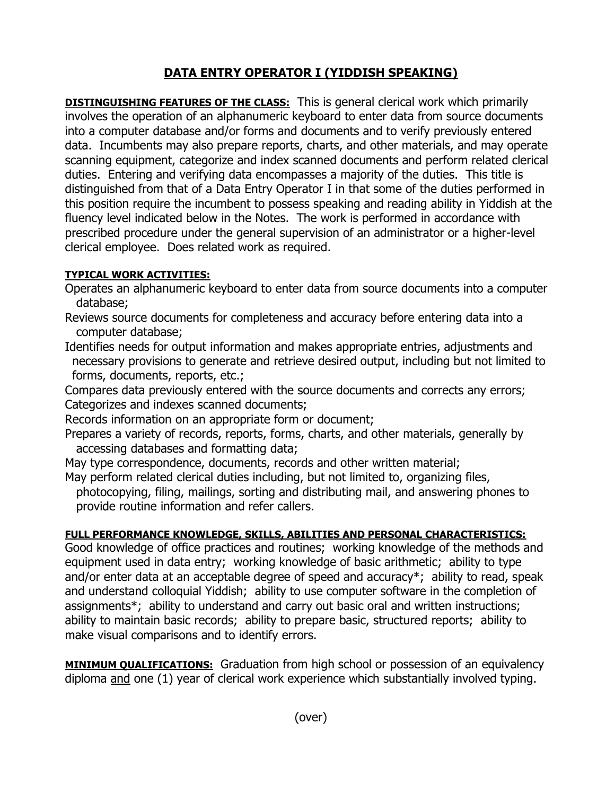## **DATA ENTRY OPERATOR I (YIDDISH SPEAKING)**

**DISTINGUISHING FEATURES OF THE CLASS:** This is general clerical work which primarily involves the operation of an alphanumeric keyboard to enter data from source documents into a computer database and/or forms and documents and to verify previously entered data. Incumbents may also prepare reports, charts, and other materials, and may operate scanning equipment, categorize and index scanned documents and perform related clerical duties. Entering and verifying data encompasses a majority of the duties. This title is distinguished from that of a Data Entry Operator I in that some of the duties performed in this position require the incumbent to possess speaking and reading ability in Yiddish at the fluency level indicated below in the Notes. The work is performed in accordance with prescribed procedure under the general supervision of an administrator or a higher-level clerical employee. Does related work as required.

## **TYPICAL WORK ACTIVITIES:**

- Operates an alphanumeric keyboard to enter data from source documents into a computer database;
- Reviews source documents for completeness and accuracy before entering data into a computer database;
- Identifies needs for output information and makes appropriate entries, adjustments and necessary provisions to generate and retrieve desired output, including but not limited to forms, documents, reports, etc.;

Compares data previously entered with the source documents and corrects any errors; Categorizes and indexes scanned documents;

Records information on an appropriate form or document;

Prepares a variety of records, reports, forms, charts, and other materials, generally by accessing databases and formatting data;

May type correspondence, documents, records and other written material;

May perform related clerical duties including, but not limited to, organizing files, photocopying, filing, mailings, sorting and distributing mail, and answering phones to provide routine information and refer callers.

## **FULL PERFORMANCE KNOWLEDGE, SKILLS, ABILITIES AND PERSONAL CHARACTERISTICS:**

Good knowledge of office practices and routines; working knowledge of the methods and equipment used in data entry; working knowledge of basic arithmetic; ability to type and/or enter data at an acceptable degree of speed and accuracy\*; ability to read, speak and understand colloquial Yiddish; ability to use computer software in the completion of assignments\*; ability to understand and carry out basic oral and written instructions; ability to maintain basic records; ability to prepare basic, structured reports; ability to make visual comparisons and to identify errors.

**MINIMUM QUALIFICATIONS:** Graduation from high school or possession of an equivalency diploma and one (1) year of clerical work experience which substantially involved typing.